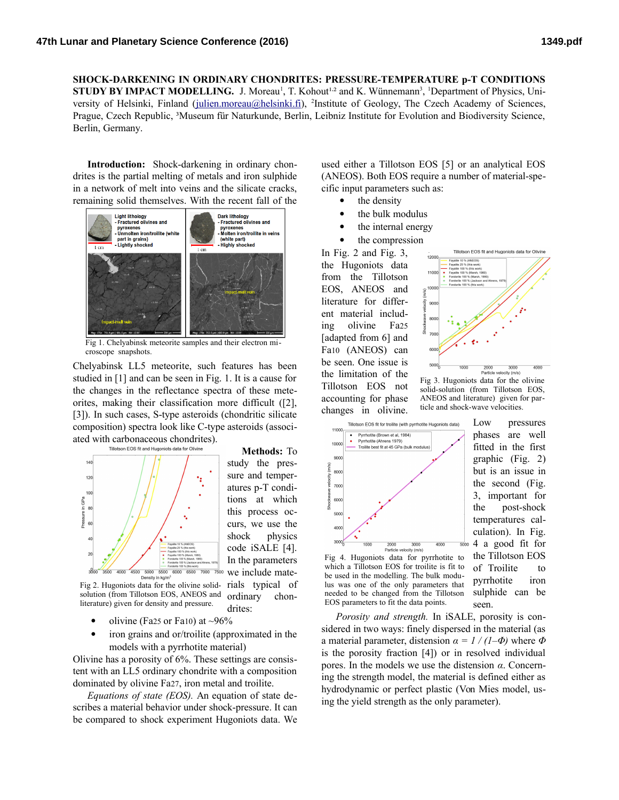**SHOCK-DARKENING IN ORDINARY CHONDRITES: PRESSURE-TEMPERATURE p-T CONDITIONS STUDY BY IMPACT MODELLING.** J. Moreau<sup>1</sup>, T. Kohout<sup>1,2</sup> and K. Wünnemann<sup>3</sup>, <sup>1</sup>Department of Physics, Uni-versity of Helsinki, Finland [\(julien.moreau@helsinki.fi\)](mailto:julien.moreau@helsinki.fi), <sup>2</sup>Institute of Geology, The Czech Academy of Sciences, Prague, Czech Republic, ³Museum für Naturkunde, Berlin, Leibniz Institute for Evolution and Biodiversity Science, Berlin, Germany.

**Introduction:** Shock-darkening in ordinary chondrites is the partial melting of metals and iron sulphide in a network of melt into veins and the silicate cracks, remaining solid themselves. With the recent fall of the



Fig 1. Chelyabinsk meteorite samples and their electron microscope snapshots.

Chelyabinsk LL5 meteorite, such features has been studied in [1] and can be seen in Fig. 1. It is a cause for the changes in the reflectance spectra of these meteorites, making their classification more difficult ([2], [3]). In such cases, S-type asteroids (chondritic silicate composition) spectra look like C-type asteroids (associated with carbonaceous chondrites).



study the pressure and temperatures p-T conditions at which this process occurs, we use the shock physics code iSALE [4]. In the parameters we include mateordinary chon-

drites:

**Methods:** To

Fig 2. Hugoniots data for the olivine solid-rials typical of solution (from Tillotson EOS, ANEOS and literature) given for density and pressure.

- olivine (Fa25 or Fa10) at  $\sim$ 96%
- iron grains and or/troilite (approximated in the models with a pyrrhotite material)

Olivine has a porosity of 6%. These settings are consistent with an LL5 ordinary chondrite with a composition dominated by olivine Fa27, iron metal and troilite.

*Equations of state (EOS).* An equation of state describes a material behavior under shock-pressure. It can be compared to shock experiment Hugoniots data. We

used either a Tillotson EOS [5] or an analytical EOS (ANEOS). Both EOS require a number of material-specific input parameters such as:

- the density
- the bulk modulus
- the internal energy
- the compression

In Fig. 2 and Fig. 3, the Hugoniots data from the Tillotson EOS, ANEOS and literature for different material including olivine Fa25 [adapted from 6] and Fa10 (ANEOS) can be seen. One issue is the limitation of the Tillotson EOS not accounting for phase changes in olivine.



Fig 3. Hugoniots data for the olivine solid-solution (from Tillotson EOS, ANEOS and literature) given for particle and shock-wave velocities.



Low pressures phases are well fitted in the first graphic (Fig. 2) but is an issue in the second (Fig. 3, important for the post-shock temperatures calculation). In Fig. 4 a good fit for the Tillotson EOS of Troilite to pyrrhotite iron sulphide can be seen.

Fig 4. Hugoniots data for pyrrhotite to which a Tillotson EOS for troilite is fit to be used in the modelling. The bulk modulus was one of the only parameters that needed to be changed from the Tillotson EOS parameters to fit the data points.

*Porosity and strength.* In iSALE, porosity is considered in two ways: finely dispersed in the material (as a material parameter, distension *α = 1 / (1–Φ)* where *Φ* is the porosity fraction [4]) or in resolved individual pores. In the models we use the distension *α*. Concerning the strength model, the material is defined either as hydrodynamic or perfect plastic (Von Mies model, using the yield strength as the only parameter).